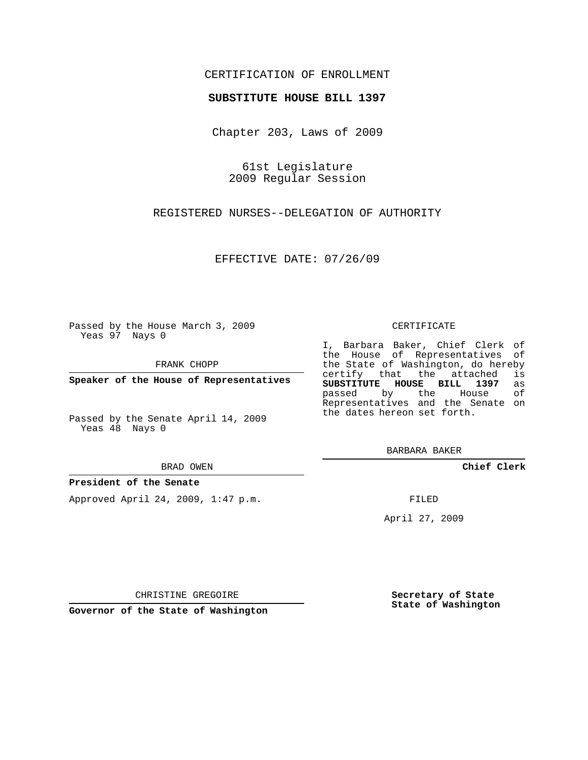## CERTIFICATION OF ENROLLMENT

### **SUBSTITUTE HOUSE BILL 1397**

Chapter 203, Laws of 2009

61st Legislature 2009 Regular Session

REGISTERED NURSES--DELEGATION OF AUTHORITY

EFFECTIVE DATE: 07/26/09

Passed by the House March 3, 2009 Yeas 97 Nays 0

FRANK CHOPP

**Speaker of the House of Representatives**

Passed by the Senate April 14, 2009 Yeas 48 Nays 0

#### BRAD OWEN

### **President of the Senate**

Approved April 24, 2009, 1:47 p.m.

#### CERTIFICATE

I, Barbara Baker, Chief Clerk of the House of Representatives of the State of Washington, do hereby<br>certify that the attached is certify that the attached is<br>SUBSTITUTE HOUSE BILL 1397 as **SUBSTITUTE HOUSE BILL 1397** as passed by the House Representatives and the Senate on the dates hereon set forth.

BARBARA BAKER

**Chief Clerk**

FILED

April 27, 2009

CHRISTINE GREGOIRE

**Governor of the State of Washington**

**Secretary of State State of Washington**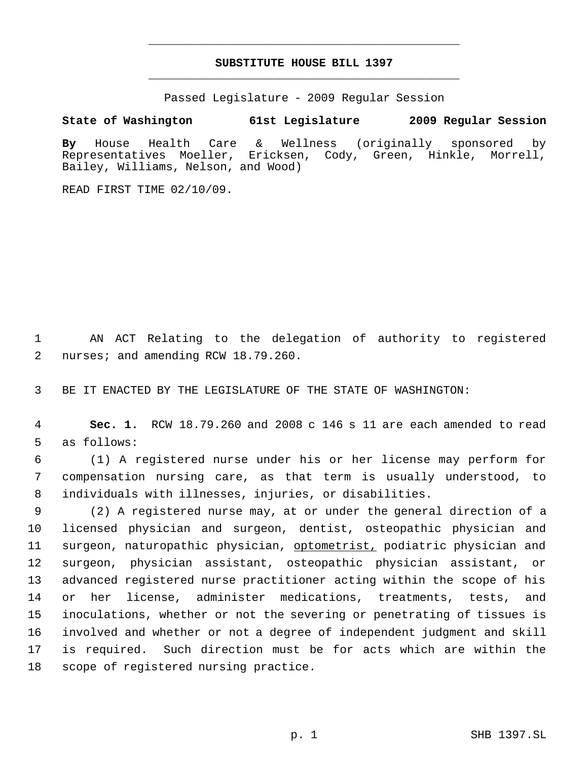# **SUBSTITUTE HOUSE BILL 1397** \_\_\_\_\_\_\_\_\_\_\_\_\_\_\_\_\_\_\_\_\_\_\_\_\_\_\_\_\_\_\_\_\_\_\_\_\_\_\_\_\_\_\_\_\_

\_\_\_\_\_\_\_\_\_\_\_\_\_\_\_\_\_\_\_\_\_\_\_\_\_\_\_\_\_\_\_\_\_\_\_\_\_\_\_\_\_\_\_\_\_

Passed Legislature - 2009 Regular Session

**State of Washington 61st Legislature 2009 Regular Session**

**By** House Health Care & Wellness (originally sponsored by Representatives Moeller, Ericksen, Cody, Green, Hinkle, Morrell, Bailey, Williams, Nelson, and Wood)

READ FIRST TIME 02/10/09.

 1 AN ACT Relating to the delegation of authority to registered 2 nurses; and amending RCW 18.79.260.

3 BE IT ENACTED BY THE LEGISLATURE OF THE STATE OF WASHINGTON:

 4 **Sec. 1.** RCW 18.79.260 and 2008 c 146 s 11 are each amended to read 5 as follows:

 6 (1) A registered nurse under his or her license may perform for 7 compensation nursing care, as that term is usually understood, to 8 individuals with illnesses, injuries, or disabilities.

 (2) A registered nurse may, at or under the general direction of a licensed physician and surgeon, dentist, osteopathic physician and 11 surgeon, naturopathic physician, optometrist, podiatric physician and surgeon, physician assistant, osteopathic physician assistant, or advanced registered nurse practitioner acting within the scope of his or her license, administer medications, treatments, tests, and inoculations, whether or not the severing or penetrating of tissues is involved and whether or not a degree of independent judgment and skill is required. Such direction must be for acts which are within the scope of registered nursing practice.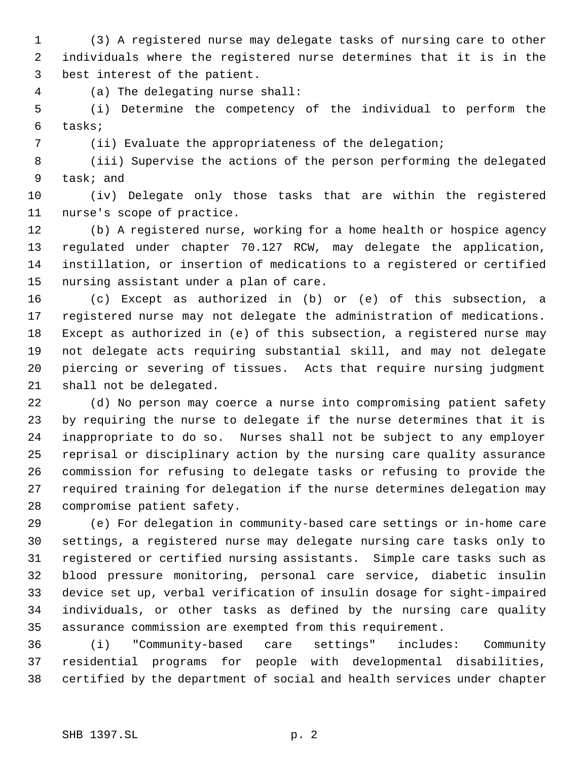(3) A registered nurse may delegate tasks of nursing care to other individuals where the registered nurse determines that it is in the best interest of the patient.

(a) The delegating nurse shall:

 (i) Determine the competency of the individual to perform the tasks;

(ii) Evaluate the appropriateness of the delegation;

 (iii) Supervise the actions of the person performing the delegated task; and

 (iv) Delegate only those tasks that are within the registered nurse's scope of practice.

 (b) A registered nurse, working for a home health or hospice agency regulated under chapter 70.127 RCW, may delegate the application, instillation, or insertion of medications to a registered or certified nursing assistant under a plan of care.

 (c) Except as authorized in (b) or (e) of this subsection, a registered nurse may not delegate the administration of medications. Except as authorized in (e) of this subsection, a registered nurse may not delegate acts requiring substantial skill, and may not delegate piercing or severing of tissues. Acts that require nursing judgment shall not be delegated.

 (d) No person may coerce a nurse into compromising patient safety by requiring the nurse to delegate if the nurse determines that it is inappropriate to do so. Nurses shall not be subject to any employer reprisal or disciplinary action by the nursing care quality assurance commission for refusing to delegate tasks or refusing to provide the required training for delegation if the nurse determines delegation may compromise patient safety.

 (e) For delegation in community-based care settings or in-home care settings, a registered nurse may delegate nursing care tasks only to registered or certified nursing assistants. Simple care tasks such as blood pressure monitoring, personal care service, diabetic insulin device set up, verbal verification of insulin dosage for sight-impaired individuals, or other tasks as defined by the nursing care quality assurance commission are exempted from this requirement.

 (i) "Community-based care settings" includes: Community residential programs for people with developmental disabilities, certified by the department of social and health services under chapter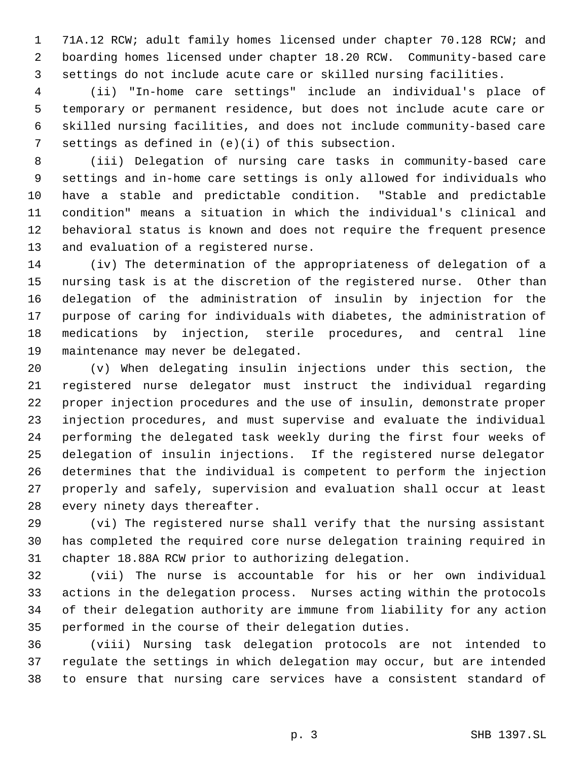71A.12 RCW; adult family homes licensed under chapter 70.128 RCW; and boarding homes licensed under chapter 18.20 RCW. Community-based care settings do not include acute care or skilled nursing facilities.

 (ii) "In-home care settings" include an individual's place of temporary or permanent residence, but does not include acute care or skilled nursing facilities, and does not include community-based care settings as defined in (e)(i) of this subsection.

 (iii) Delegation of nursing care tasks in community-based care settings and in-home care settings is only allowed for individuals who have a stable and predictable condition. "Stable and predictable condition" means a situation in which the individual's clinical and behavioral status is known and does not require the frequent presence and evaluation of a registered nurse.

 (iv) The determination of the appropriateness of delegation of a nursing task is at the discretion of the registered nurse. Other than delegation of the administration of insulin by injection for the purpose of caring for individuals with diabetes, the administration of medications by injection, sterile procedures, and central line maintenance may never be delegated.

 (v) When delegating insulin injections under this section, the registered nurse delegator must instruct the individual regarding proper injection procedures and the use of insulin, demonstrate proper injection procedures, and must supervise and evaluate the individual performing the delegated task weekly during the first four weeks of delegation of insulin injections. If the registered nurse delegator determines that the individual is competent to perform the injection properly and safely, supervision and evaluation shall occur at least every ninety days thereafter.

 (vi) The registered nurse shall verify that the nursing assistant has completed the required core nurse delegation training required in chapter 18.88A RCW prior to authorizing delegation.

 (vii) The nurse is accountable for his or her own individual actions in the delegation process. Nurses acting within the protocols of their delegation authority are immune from liability for any action performed in the course of their delegation duties.

 (viii) Nursing task delegation protocols are not intended to regulate the settings in which delegation may occur, but are intended to ensure that nursing care services have a consistent standard of